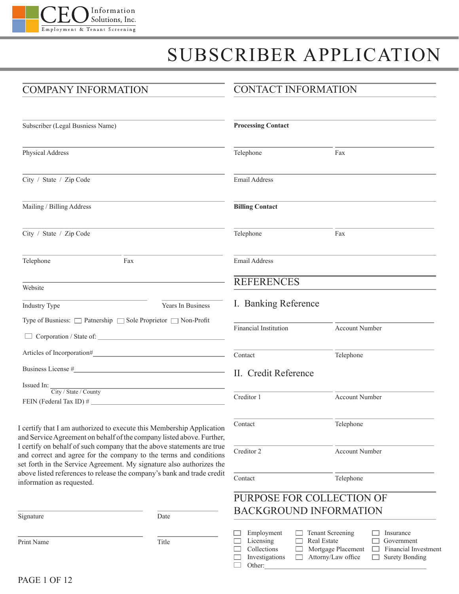

# SUBSCRIBER APPLICATION

| <b>COMPANY INFORMATION</b>                                                                                                                                                                                                                                                                                                                                                                                                                                                   |                   | <b>CONTACT INFORMATION</b>                                         |                                                                                                                                                                       |
|------------------------------------------------------------------------------------------------------------------------------------------------------------------------------------------------------------------------------------------------------------------------------------------------------------------------------------------------------------------------------------------------------------------------------------------------------------------------------|-------------------|--------------------------------------------------------------------|-----------------------------------------------------------------------------------------------------------------------------------------------------------------------|
| Subscriber (Legal Busniess Name)                                                                                                                                                                                                                                                                                                                                                                                                                                             |                   | <b>Processing Contact</b>                                          |                                                                                                                                                                       |
| Physical Address                                                                                                                                                                                                                                                                                                                                                                                                                                                             |                   | Telephone                                                          | Fax                                                                                                                                                                   |
| City / State / Zip Code                                                                                                                                                                                                                                                                                                                                                                                                                                                      |                   | <b>Email Address</b>                                               |                                                                                                                                                                       |
| Mailing / Billing Address                                                                                                                                                                                                                                                                                                                                                                                                                                                    |                   | <b>Billing Contact</b>                                             |                                                                                                                                                                       |
| City / State / Zip Code                                                                                                                                                                                                                                                                                                                                                                                                                                                      |                   | Telephone                                                          | Fax                                                                                                                                                                   |
| Telephone<br>Fax                                                                                                                                                                                                                                                                                                                                                                                                                                                             |                   | <b>Email Address</b>                                               |                                                                                                                                                                       |
| Website                                                                                                                                                                                                                                                                                                                                                                                                                                                                      |                   | <b>REFERENCES</b>                                                  |                                                                                                                                                                       |
| Industry Type                                                                                                                                                                                                                                                                                                                                                                                                                                                                | Years In Business | I. Banking Reference                                               |                                                                                                                                                                       |
| Type of Busniess: □ Patnership □ Sole Proprietor □ Non-Profit                                                                                                                                                                                                                                                                                                                                                                                                                |                   | Financial Institution                                              | Account Number                                                                                                                                                        |
|                                                                                                                                                                                                                                                                                                                                                                                                                                                                              |                   | Contact                                                            | Telephone                                                                                                                                                             |
| Issued In:                                                                                                                                                                                                                                                                                                                                                                                                                                                                   |                   | II. Credit Reference                                               |                                                                                                                                                                       |
| City / State / County                                                                                                                                                                                                                                                                                                                                                                                                                                                        |                   | Creditor 1                                                         | <b>Account Number</b>                                                                                                                                                 |
| I certify that I am authorized to execute this Membership Application<br>and Service Agreement on behalf of the company listed above. Further,<br>I certify on behalf of such company that the above statements are true<br>and correct and agree for the company to the terms and conditions<br>set forth in the Service Agreement. My signature also authorizes the<br>above listed references to release the company's bank and trade credit<br>information as requested. |                   | Contact                                                            | Telephone                                                                                                                                                             |
|                                                                                                                                                                                                                                                                                                                                                                                                                                                                              |                   | Creditor 2                                                         | Account Number                                                                                                                                                        |
|                                                                                                                                                                                                                                                                                                                                                                                                                                                                              |                   | Contact                                                            | Telephone                                                                                                                                                             |
|                                                                                                                                                                                                                                                                                                                                                                                                                                                                              |                   | PURPOSE FOR COLLECTION OF                                          |                                                                                                                                                                       |
| Signature                                                                                                                                                                                                                                                                                                                                                                                                                                                                    | Date              | <b>BACKGROUND INFORMATION</b>                                      |                                                                                                                                                                       |
| Print Name                                                                                                                                                                                                                                                                                                                                                                                                                                                                   | Title             | Employment<br>Licensing<br>Collections<br>Investigations<br>Other: | <b>Tenant Screening</b><br>Insurance<br>Real Estate<br>Government<br>Mortgage Placement<br><b>Financial Investment</b><br>Attorny/Law office<br><b>Surety Bonding</b> |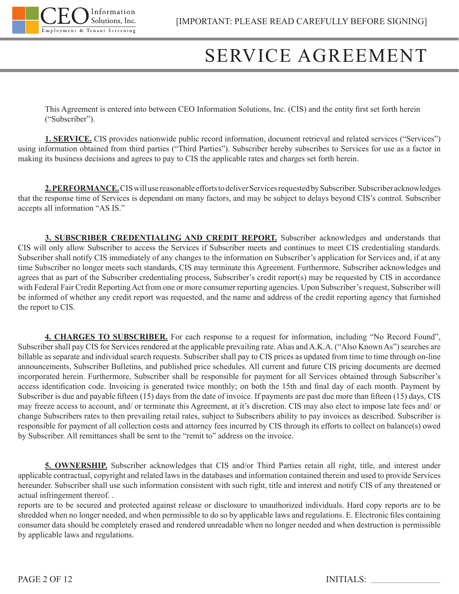

# SERVICE AGREEMENT

This Agreement is entered into between CEO Information Solutions, Inc. (CIS) and the entity first set forth herein ("Subscriber").

**1. SERVICE.** CIS provides nationwide public record information, document retrieval and related services ("Services") using information obtained from third parties ("Third Parties"). Subscriber hereby subscribes to Services for use as a factor in making its business decisions and agrees to pay to CIS the applicable rates and charges set forth herein.

**2. PERFORMANCE.** CIS will use reasonable efforts to deliver Services requested by Subscriber. Subscriber acknowledges that the response time of Services is dependant on many factors, and may be subject to delays beyond CIS's control. Subscriber accepts all information "AS IS."

**3. SUBSCRIBER CREDENTIALING AND CREDIT REPORT.** Subscriber acknowledges and understands that CIS will only allow Subscriber to access the Services if Subscriber meets and continues to meet CIS credentialing standards. Subscriber shall notify CIS immediately of any changes to the information on Subscriber's application for Services and, if at any time Subscriber no longer meets such standards, CIS may terminate this Agreement. Furthermore, Subscriber acknowledges and agrees that as part of the Subscriber credentialing process, Subscriber's credit report(s) may be requested by CIS in accordance with Federal Fair Credit Reporting Act from one or more consumer reporting agencies. Upon Subscriber's request, Subscriber will be informed of whether any credit report was requested, and the name and address of the credit reporting agency that furnished the report to CIS.

**4. CHARGES TO SUBSCRIBER.** For each response to a request for information, including "No Record Found", Subscriber shall pay CIS for Services rendered at the applicable prevailing rate. Alias and A.K.A. ("Also Known As") searches are billable as separate and individual search requests. Subscriber shall pay to CIS prices as updated from time to time through on-line announcements, Subscriber Bulletins, and published price schedules. All current and future CIS pricing documents are deemed incorporated herein. Furthermore, Subscriber shall be responsible for payment for all Services obtained through Subscriber's access identification code. Invoicing is generated twice monthly; on both the 15th and final day of each month. Payment by Subscriber is due and payable fifteen (15) days from the date of invoice. If payments are past due more than fifteen (15) days, CIS may freeze access to account, and/ or terminate this Agreement, at it's discretion. CIS may also elect to impose late fees and/ or change Subscribers rates to then prevailing retail rates, subject to Subscribers ability to pay invoices as described. Subscriber is responsible for payment of all collection costs and attorney fees incurred by CIS through its efforts to collect on balance(s) owed by Subscriber. All remittances shall be sent to the "remit to" address on the invoice.

**5. OWNERSHIP.** Subscriber acknowledges that CIS and/or Third Parties retain all right, title, and interest under applicable contractual, copyright and related laws in the databases and information contained therein and used to provide Services hereunder. Subscriber shall use such information consistent with such right, title and interest and notify CIS of any threatened or actual infringement thereof. .

reports are to be secured and protected against release or disclosure to unauthorized individuals. Hard copy reports are to be shredded when no longer needed, and when permissible to do so by applicable laws and regulations. E. Electronic files containing consumer data should be completely erased and rendered unreadable when no longer needed and when destruction is permissible by applicable laws and regulations.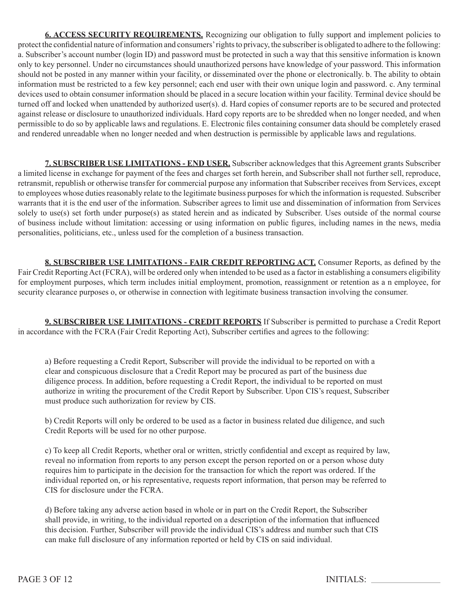**6. ACCESS SECURITY REQUIREMENTS.** Recognizing our obligation to fully support and implement policies to protect the confidential nature of information and consumers' rights to privacy, the subscriber is obligated to adhere to the following: a. Subscriber's account number (login ID) and password must be protected in such a way that this sensitive information is known only to key personnel. Under no circumstances should unauthorized persons have knowledge of your password. This information should not be posted in any manner within your facility, or disseminated over the phone or electronically. b. The ability to obtain information must be restricted to a few key personnel; each end user with their own unique login and password. c. Any terminal devices used to obtain consumer information should be placed in a secure location within your facility. Terminal device should be turned off and locked when unattended by authorized user(s). d. Hard copies of consumer reports are to be secured and protected against release or disclosure to unauthorized individuals. Hard copy reports are to be shredded when no longer needed, and when permissible to do so by applicable laws and regulations. E. Electronic files containing consumer data should be completely erased and rendered unreadable when no longer needed and when destruction is permissible by applicable laws and regulations.

**7. SUBSCRIBER USE LIMITATIONS - END USER.** Subscriber acknowledges that this Agreement grants Subscriber a limited license in exchange for payment of the fees and charges set forth herein, and Subscriber shall not further sell, reproduce, retransmit, republish or otherwise transfer for commercial purpose any information that Subscriber receives from Services, except to employees whose duties reasonably relate to the legitimate business purposes for which the information is requested. Subscriber warrants that it is the end user of the information. Subscriber agrees to limit use and dissemination of information from Services solely to use(s) set forth under purpose(s) as stated herein and as indicated by Subscriber. Uses outside of the normal course of business include without limitation: accessing or using information on public figures, including names in the news, media personalities, politicians, etc., unless used for the completion of a business transaction.

**8. SUBSCRIBER USE LIMITATIONS - FAIR CREDIT REPORTING ACT.** Consumer Reports, as defined by the Fair Credit Reporting Act (FCRA), will be ordered only when intended to be used as a factor in establishing a consumers eligibility for employment purposes, which term includes initial employment, promotion, reassignment or retention as a n employee, for security clearance purposes o, or otherwise in connection with legitimate business transaction involving the consumer.

**9. SUBSCRIBER USE LIMITATIONS - CREDIT REPORTS** If Subscriber is permitted to purchase a Credit Report in accordance with the FCRA (Fair Credit Reporting Act), Subscriber certifies and agrees to the following:

a) Before requesting a Credit Report, Subscriber will provide the individual to be reported on with a clear and conspicuous disclosure that a Credit Report may be procured as part of the business due diligence process. In addition, before requesting a Credit Report, the individual to be reported on must authorize in writing the procurement of the Credit Report by Subscriber. Upon CIS's request, Subscriber must produce such authorization for review by CIS.

b) Credit Reports will only be ordered to be used as a factor in business related due diligence, and such Credit Reports will be used for no other purpose.

c) To keep all Credit Reports, whether oral or written, strictly confidential and except as required by law, reveal no information from reports to any person except the person reported on or a person whose duty requires him to participate in the decision for the transaction for which the report was ordered. If the individual reported on, or his representative, requests report information, that person may be referred to CIS for disclosure under the FCRA.

d) Before taking any adverse action based in whole or in part on the Credit Report, the Subscriber shall provide, in writing, to the individual reported on a description of the information that influenced this decision. Further, Subscriber will provide the individual CIS's address and number such that CIS can make full disclosure of any information reported or held by CIS on said individual.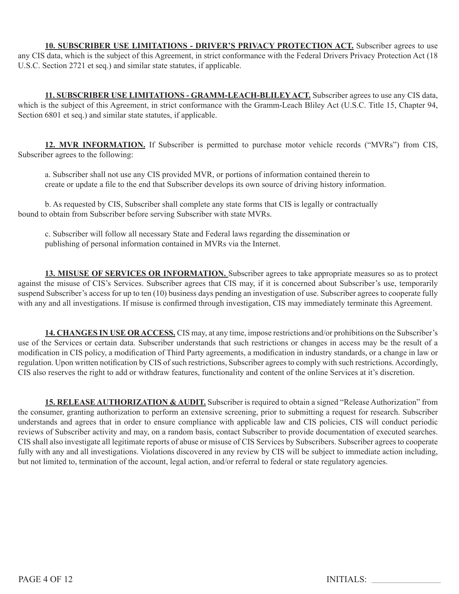**10. SUBSCRIBER USE LIMITATIONS - DRIVER'S PRIVACY PROTECTION ACT.** Subscriber agrees to use any CIS data, which is the subject of this Agreement, in strict conformance with the Federal Drivers Privacy Protection Act (18 U.S.C. Section 2721 et seq.) and similar state statutes, if applicable.

**11. SUBSCRIBER USE LIMITATIONS - GRAMM-LEACH-BLILEY ACT.** Subscriber agrees to use any CIS data, which is the subject of this Agreement, in strict conformance with the Gramm-Leach Bliley Act (U.S.C. Title 15, Chapter 94, Section 6801 et seq.) and similar state statutes, if applicable.

**12. MVR INFORMATION.** If Subscriber is permitted to purchase motor vehicle records ("MVRs") from CIS, Subscriber agrees to the following:

a. Subscriber shall not use any CIS provided MVR, or portions of information contained therein to create or update a file to the end that Subscriber develops its own source of driving history information.

b. As requested by CIS, Subscriber shall complete any state forms that CIS is legally or contractually bound to obtain from Subscriber before serving Subscriber with state MVRs.

c. Subscriber will follow all necessary State and Federal laws regarding the dissemination or publishing of personal information contained in MVRs via the Internet.

**13. MISUSE OF SERVICES OR INFORMATION.** Subscriber agrees to take appropriate measures so as to protect against the misuse of CIS's Services. Subscriber agrees that CIS may, if it is concerned about Subscriber's use, temporarily suspend Subscriber's access for up to ten (10) business days pending an investigation of use. Subscriber agrees to cooperate fully with any and all investigations. If misuse is confirmed through investigation, CIS may immediately terminate this Agreement.

**14. CHANGES IN USE OR ACCESS.** CIS may, at any time, impose restrictions and/or prohibitions on the Subscriber's use of the Services or certain data. Subscriber understands that such restrictions or changes in access may be the result of a modification in CIS policy, a modification of Third Party agreements, a modification in industry standards, or a change in law or regulation. Upon written notification by CIS of such restrictions, Subscriber agrees to comply with such restrictions. Accordingly, CIS also reserves the right to add or withdraw features, functionality and content of the online Services at it's discretion.

**15. RELEASE AUTHORIZATION & AUDIT.** Subscriber is required to obtain a signed "Release Authorization" from the consumer, granting authorization to perform an extensive screening, prior to submitting a request for research. Subscriber understands and agrees that in order to ensure compliance with applicable law and CIS policies, CIS will conduct periodic reviews of Subscriber activity and may, on a random basis, contact Subscriber to provide documentation of executed searches. CIS shall also investigate all legitimate reports of abuse or misuse of CIS Services by Subscribers. Subscriber agrees to cooperate fully with any and all investigations. Violations discovered in any review by CIS will be subject to immediate action including, but not limited to, termination of the account, legal action, and/or referral to federal or state regulatory agencies.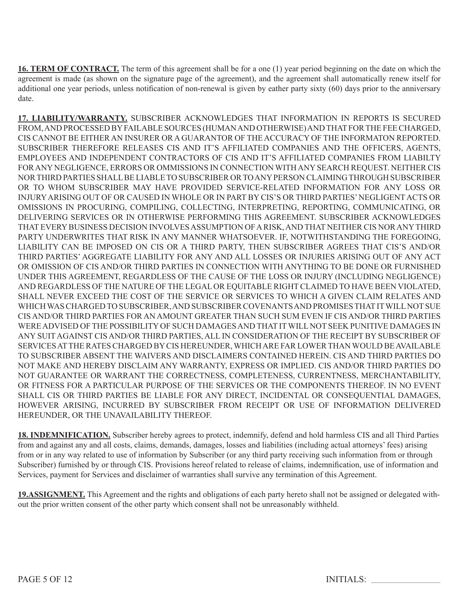**16. TERM OF CONTRACT.** The term of this agreement shall be for a one (1) year period beginning on the date on which the agreement is made (as shown on the signature page of the agreement), and the agreement shall automatically renew itself for additional one year periods, unless notification of non-renewal is given by eather party sixty (60) days prior to the anniversary date.

**17. LIABILITY/WARRANTY.** SUBSCRIBER ACKNOWLEDGES THAT INFORMATION IN REPORTS IS SECURED FROM, AND PROCESSED BY FAILABLE SOURCES (HUMAN AND OTHERWISE) AND THAT FOR THE FEE CHARGED, CIS CANNOT BE EITHER AN INSURER OR A GUARANTOR OF THE ACCURACY OF THE INFORMATON REPORTED. SUBSCRIBER THEREFORE RELEASES CIS AND IT'S AFFILIATED COMPANIES AND THE OFFICERS, AGENTS, EMPLOYEES AND INDEPENDENT CONTRACTORS OF CIS AND IT'S AFFILIATED COMPANIES FROM LIABILTY FOR ANY NEGLIGENCE, ERRORS OR OMMISSIONS IN CONNECTION WITH ANY SEARCH REQUEST. NEITHER CIS NOR THIRD PARTIES SHALL BE LIABLE TO SUBSCRIBER OR TO ANY PERSON CLAIMING THROUGH SUBSCRIBER OR TO WHOM SUBSCRIBER MAY HAVE PROVIDED SERVICE-RELATED INFORMATION FOR ANY LOSS OR INJURY ARISING OUT OF OR CAUSED IN WHOLE OR IN PART BY CIS'S OR THIRD PARTIES' NEGLIGENT ACTS OR OMISSIONS IN PROCURING, COMPILING, COLLECTING, INTERPRETING, REPORTING, COMMUNICATING, OR DELIVERING SERVICES OR IN OTHERWISE PERFORMING THIS AGREEMENT. SUBSCRIBER ACKNOWLEDGES THAT EVERY BUSINESS DECISION INVOLVES ASSUMPTION OF A RISK, AND THAT NEITHER CIS NOR ANY THIRD PARTY UNDERWRITES THAT RISK IN ANY MANNER WHATSOEVER. IF, NOTWITHSTANDING THE FOREGOING, LIABILITY CAN BE IMPOSED ON CIS OR A THIRD PARTY, THEN SUBSCRIBER AGREES THAT CIS'S AND/OR THIRD PARTIES' AGGREGATE LIABILITY FOR ANY AND ALL LOSSES OR INJURIES ARISING OUT OF ANY ACT OR OMISSION OF CIS AND/OR THIRD PARTIES IN CONNECTION WITH ANYTHING TO BE DONE OR FURNISHED UNDER THIS AGREEMENT, REGARDLESS OF THE CAUSE OF THE LOSS OR INJURY (INCLUDING NEGLIGENCE) AND REGARDLESS OF THE NATURE OF THE LEGAL OR EQUITABLE RIGHT CLAIMED TO HAVE BEEN VIOLATED, SHALL NEVER EXCEED THE COST OF THE SERVICE OR SERVICES TO WHICH A GIVEN CLAIM RELATES AND WHICH WAS CHARGED TO SUBSCRIBER, AND SUBSCRIBER COVENANTS AND PROMISES THAT IT WILL NOT SUE CIS AND/OR THIRD PARTIES FOR AN AMOUNT GREATER THAN SUCH SUM EVEN IF CIS AND/OR THIRD PARTIES WERE ADVISED OF THE POSSIBILITY OF SUCH DAMAGES AND THAT IT WILL NOT SEEK PUNITIVE DAMAGES IN ANY SUIT AGAINST CIS AND/OR THIRD PARTIES, ALL IN CONSIDERATION OF THE RECEIPT BY SUBSCRIBER OF SERVICES AT THE RATES CHARGED BY CIS HEREUNDER, WHICH ARE FAR LOWER THAN WOULD BE AVAILABLE TO SUBSCRIBER ABSENT THE WAIVERS AND DISCLAIMERS CONTAINED HEREIN. CIS AND THIRD PARTIES DO NOT MAKE AND HEREBY DISCLAIM ANY WARRANTY, EXPRESS OR IMPLIED. CIS AND/OR THIRD PARTIES DO NOT GUARANTEE OR WARRANT THE CORRECTNESS, COMPLETENESS, CURRENTNESS, MERCHANTABILITY, OR FITNESS FOR A PARTICULAR PURPOSE OF THE SERVICES OR THE COMPONENTS THEREOF. IN NO EVENT SHALL CIS OR THIRD PARTIES BE LIABLE FOR ANY DIRECT, INCIDENTAL OR CONSEQUENTIAL DAMAGES, HOWEVER ARISING, INCURRED BY SUBSCRIBER FROM RECEIPT OR USE OF INFORMATION DELIVERED HEREUNDER, OR THE UNAVAILABILITY THEREOF.

**18. INDEMNIFICATION.** Subscriber hereby agrees to protect, indemnify, defend and hold harmless CIS and all Third Parties from and against any and all costs, claims, demands, damages, losses and liabilities (including actual attorneys' fees) arising from or in any way related to use of information by Subscriber (or any third party receiving such information from or through Subscriber) furnished by or through CIS. Provisions hereof related to release of claims, indemnification, use of information and Services, payment for Services and disclaimer of warranties shall survive any termination of this Agreement.

**19.ASSIGNMENT.** This Agreement and the rights and obligations of each party hereto shall not be assigned or delegated without the prior written consent of the other party which consent shall not be unreasonably withheld.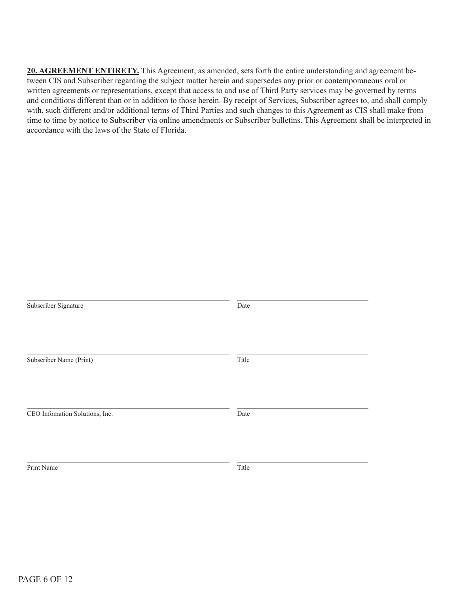**20. AGREEMENT ENTIRETY.** This Agreement, as amended, sets forth the entire understanding and agreement between CIS and Subscriber regarding the subject matter herein and supersedes any prior or contemporaneous oral or written agreements or representations, except that access to and use of Third Party services may be governed by terms and conditions different than or in addition to those herein. By receipt of Services, Subscriber agrees to, and shall comply with, such different and/or additional terms of Third Parties and such changes to this Agreement as CIS shall make from time to time by notice to Subscriber via online amendments or Subscriber bulletins. This Agreement shall be interpreted in accordance with the laws of the State of Florida.

| Subscriber Signature           | Date  |
|--------------------------------|-------|
| Subscriber Name (Print)        | Title |
| CEO Infomation Solutions, Inc. | Date  |
| Print Name                     | Title |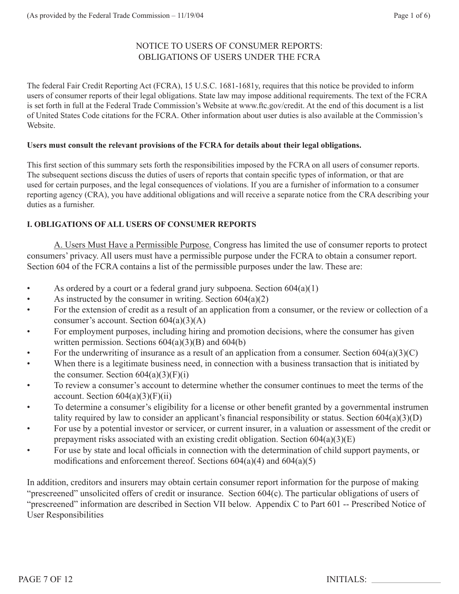## NOTICE TO USERS OF CONSUMER REPORTS: OBLIGATIONS OF USERS UNDER THE FCRA

The federal Fair Credit Reporting Act (FCRA), 15 U.S.C. 1681-1681y, requires that this notice be provided to inform users of consumer reports of their legal obligations. State law may impose additional requirements. The text of the FCRA is set forth in full at the Federal Trade Commission's Website at www.ftc.gov/credit. At the end of this document is a list of United States Code citations for the FCRA. Other information about user duties is also available at the Commission's **Website** 

#### **Users must consult the relevant provisions of the FCRA for details about their legal obligations.**

This first section of this summary sets forth the responsibilities imposed by the FCRA on all users of consumer reports. The subsequent sections discuss the duties of users of reports that contain specific types of information, or that are used for certain purposes, and the legal consequences of violations. If you are a furnisher of information to a consumer reporting agency (CRA), you have additional obligations and will receive a separate notice from the CRA describing your duties as a furnisher.

### **I. OBLIGATIONS OF ALL USERS OF CONSUMER REPORTS**

A. Users Must Have a Permissible Purpose. Congress has limited the use of consumer reports to protect consumers' privacy. All users must have a permissible purpose under the FCRA to obtain a consumer report. Section 604 of the FCRA contains a list of the permissible purposes under the law. These are:

- As ordered by a court or a federal grand jury subpoena. Section  $604(a)(1)$
- As instructed by the consumer in writing. Section  $604(a)(2)$
- For the extension of credit as a result of an application from a consumer, or the review or collection of a consumer's account. Section  $604(a)(3)(A)$
- For employment purposes, including hiring and promotion decisions, where the consumer has given written permission. Sections  $604(a)(3)(B)$  and  $604(b)$
- For the underwriting of insurance as a result of an application from a consumer. Section  $604(a)(3)(C)$
- When there is a legitimate business need, in connection with a business transaction that is initiated by the consumer. Section  $604(a)(3)(F)(i)$
- To review a consumer's account to determine whether the consumer continues to meet the terms of the account. Section  $604(a)(3)(F)(ii)$
- To determine a consumer's eligibility for a license or other benefit granted by a governmental instrumen tality required by law to consider an applicant's financial responsibility or status. Section  $604(a)(3)(D)$
- For use by a potential investor or servicer, or current insurer, in a valuation or assessment of the credit or prepayment risks associated with an existing credit obligation. Section  $604(a)(3)(E)$
- For use by state and local officials in connection with the determination of child support payments, or modifications and enforcement thereof. Sections  $604(a)(4)$  and  $604(a)(5)$

In addition, creditors and insurers may obtain certain consumer report information for the purpose of making "prescreened" unsolicited offers of credit or insurance. Section 604(c). The particular obligations of users of "prescreened" information are described in Section VII below. Appendix C to Part 601 -- Prescribed Notice of User Responsibilities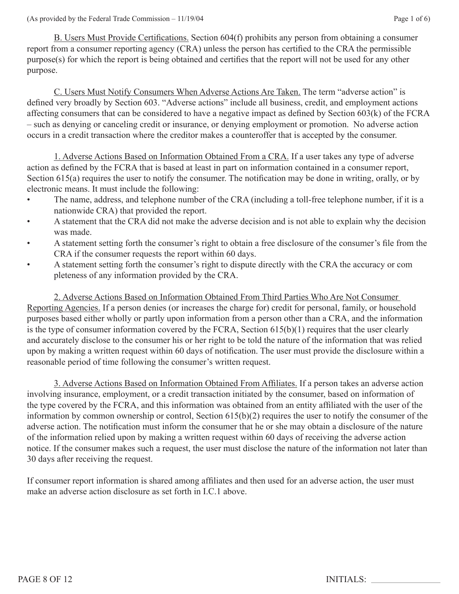B. Users Must Provide Certifications. Section 604(f) prohibits any person from obtaining a consumer report from a consumer reporting agency (CRA) unless the person has certified to the CRA the permissible purpose(s) for which the report is being obtained and certifies that the report will not be used for any other purpose.

C. Users Must Notify Consumers When Adverse Actions Are Taken. The term "adverse action" is defined very broadly by Section 603. "Adverse actions" include all business, credit, and employment actions affecting consumers that can be considered to have a negative impact as defined by Section 603(k) of the FCRA – such as denying or canceling credit or insurance, or denying employment or promotion. No adverse action occurs in a credit transaction where the creditor makes a counteroffer that is accepted by the consumer.

1. Adverse Actions Based on Information Obtained From a CRA. If a user takes any type of adverse action as defined by the FCRA that is based at least in part on information contained in a consumer report, Section 615(a) requires the user to notify the consumer. The notification may be done in writing, orally, or by electronic means. It must include the following:

- The name, address, and telephone number of the CRA (including a toll-free telephone number, if it is a nationwide CRA) that provided the report.
- A statement that the CRA did not make the adverse decision and is not able to explain why the decision was made.
- A statement setting forth the consumer's right to obtain a free disclosure of the consumer's file from the CRA if the consumer requests the report within 60 days.
- A statement setting forth the consumer's right to dispute directly with the CRA the accuracy or com pleteness of any information provided by the CRA.

2. Adverse Actions Based on Information Obtained From Third Parties Who Are Not Consumer Reporting Agencies. If a person denies (or increases the charge for) credit for personal, family, or household purposes based either wholly or partly upon information from a person other than a CRA, and the information is the type of consumer information covered by the FCRA, Section 615(b)(1) requires that the user clearly and accurately disclose to the consumer his or her right to be told the nature of the information that was relied upon by making a written request within 60 days of notification. The user must provide the disclosure within a reasonable period of time following the consumer's written request.

3. Adverse Actions Based on Information Obtained From Affiliates. If a person takes an adverse action involving insurance, employment, or a credit transaction initiated by the consumer, based on information of the type covered by the FCRA, and this information was obtained from an entity affiliated with the user of the information by common ownership or control, Section 615(b)(2) requires the user to notify the consumer of the adverse action. The notification must inform the consumer that he or she may obtain a disclosure of the nature of the information relied upon by making a written request within 60 days of receiving the adverse action notice. If the consumer makes such a request, the user must disclose the nature of the information not later than 30 days after receiving the request.

If consumer report information is shared among affiliates and then used for an adverse action, the user must make an adverse action disclosure as set forth in I.C.1 above.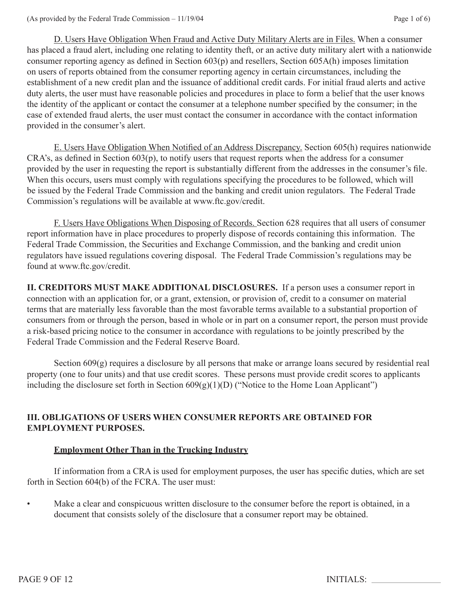D. Users Have Obligation When Fraud and Active Duty Military Alerts are in Files. When a consumer has placed a fraud alert, including one relating to identity theft, or an active duty military alert with a nationwide consumer reporting agency as defined in Section 603(p) and resellers, Section 605A(h) imposes limitation on users of reports obtained from the consumer reporting agency in certain circumstances, including the establishment of a new credit plan and the issuance of additional credit cards. For initial fraud alerts and active duty alerts, the user must have reasonable policies and procedures in place to form a belief that the user knows the identity of the applicant or contact the consumer at a telephone number specified by the consumer; in the case of extended fraud alerts, the user must contact the consumer in accordance with the contact information provided in the consumer's alert.

E. Users Have Obligation When Notified of an Address Discrepancy. Section 605(h) requires nationwide CRA's, as defined in Section 603(p), to notify users that request reports when the address for a consumer provided by the user in requesting the report is substantially different from the addresses in the consumer's file. When this occurs, users must comply with regulations specifying the procedures to be followed, which will be issued by the Federal Trade Commission and the banking and credit union regulators. The Federal Trade Commission's regulations will be available at www.ftc.gov/credit.

F. Users Have Obligations When Disposing of Records. Section 628 requires that all users of consumer report information have in place procedures to properly dispose of records containing this information. The Federal Trade Commission, the Securities and Exchange Commission, and the banking and credit union regulators have issued regulations covering disposal. The Federal Trade Commission's regulations may be found at www.ftc.gov/credit.

**II. CREDITORS MUST MAKE ADDITIONAL DISCLOSURES.** If a person uses a consumer report in connection with an application for, or a grant, extension, or provision of, credit to a consumer on material terms that are materially less favorable than the most favorable terms available to a substantial proportion of consumers from or through the person, based in whole or in part on a consumer report, the person must provide a risk-based pricing notice to the consumer in accordance with regulations to be jointly prescribed by the Federal Trade Commission and the Federal Reserve Board.

Section 609(g) requires a disclosure by all persons that make or arrange loans secured by residential real property (one to four units) and that use credit scores. These persons must provide credit scores to applicants including the disclosure set forth in Section  $609(g)(1)(D)$  ("Notice to the Home Loan Applicant")

## **III. OBLIGATIONS OF USERS WHEN CONSUMER REPORTS ARE OBTAINED FOR EMPLOYMENT PURPOSES.**

## **Employment Other Than in the Trucking Industry**

If information from a CRA is used for employment purposes, the user has specific duties, which are set forth in Section 604(b) of the FCRA. The user must:

• Make a clear and conspicuous written disclosure to the consumer before the report is obtained, in a document that consists solely of the disclosure that a consumer report may be obtained.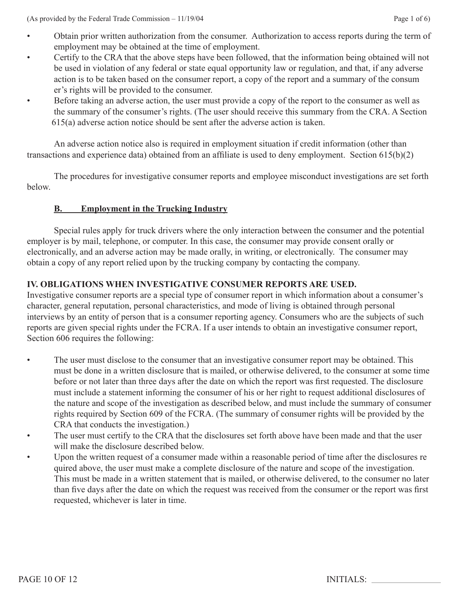(As provided by the Federal Trade Commission –  $11/19/04$  Page 1 of 6)

- Obtain prior written authorization from the consumer. Authorization to access reports during the term of employment may be obtained at the time of employment.
- Certify to the CRA that the above steps have been followed, that the information being obtained will not be used in violation of any federal or state equal opportunity law or regulation, and that, if any adverse action is to be taken based on the consumer report, a copy of the report and a summary of the consum er's rights will be provided to the consumer.
- Before taking an adverse action, the user must provide a copy of the report to the consumer as well as the summary of the consumer's rights. (The user should receive this summary from the CRA. A Section 615(a) adverse action notice should be sent after the adverse action is taken.

An adverse action notice also is required in employment situation if credit information (other than transactions and experience data) obtained from an affiliate is used to deny employment. Section 615(b)(2)

The procedures for investigative consumer reports and employee misconduct investigations are set forth below.

## **B. Employment in the Trucking Industry**

Special rules apply for truck drivers where the only interaction between the consumer and the potential employer is by mail, telephone, or computer. In this case, the consumer may provide consent orally or electronically, and an adverse action may be made orally, in writing, or electronically. The consumer may obtain a copy of any report relied upon by the trucking company by contacting the company.

## **IV. OBLIGATIONS WHEN INVESTIGATIVE CONSUMER REPORTS ARE USED.**

Investigative consumer reports are a special type of consumer report in which information about a consumer's character, general reputation, personal characteristics, and mode of living is obtained through personal interviews by an entity of person that is a consumer reporting agency. Consumers who are the subjects of such reports are given special rights under the FCRA. If a user intends to obtain an investigative consumer report, Section 606 requires the following:

- The user must disclose to the consumer that an investigative consumer report may be obtained. This must be done in a written disclosure that is mailed, or otherwise delivered, to the consumer at some time before or not later than three days after the date on which the report was first requested. The disclosure must include a statement informing the consumer of his or her right to request additional disclosures of the nature and scope of the investigation as described below, and must include the summary of consumer rights required by Section 609 of the FCRA. (The summary of consumer rights will be provided by the CRA that conducts the investigation.)
- The user must certify to the CRA that the disclosures set forth above have been made and that the user will make the disclosure described below.
- Upon the written request of a consumer made within a reasonable period of time after the disclosures re quired above, the user must make a complete disclosure of the nature and scope of the investigation. This must be made in a written statement that is mailed, or otherwise delivered, to the consumer no later than five days after the date on which the request was received from the consumer or the report was first requested, whichever is later in time.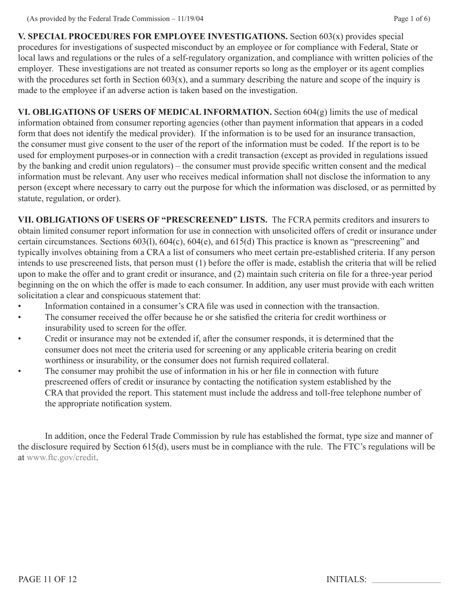**V. SPECIAL PROCEDURES FOR EMPLOYEE INVESTIGATIONS.** Section 603(x) provides special procedures for investigations of suspected misconduct by an employee or for compliance with Federal, State or local laws and regulations or the rules of a self-regulatory organization, and compliance with written policies of the employer. These investigations are not treated as consumer reports so long as the employer or its agent complies with the procedures set forth in Section  $603(x)$ , and a summary describing the nature and scope of the inquiry is made to the employee if an adverse action is taken based on the investigation.

**VI. OBLIGATIONS OF USERS OF MEDICAL INFORMATION.** Section 604(g) limits the use of medical information obtained from consumer reporting agencies (other than payment information that appears in a coded form that does not identify the medical provider). If the information is to be used for an insurance transaction, the consumer must give consent to the user of the report of the information must be coded. If the report is to be used for employment purposes-or in connection with a credit transaction (except as provided in regulations issued by the banking and credit union regulators) – the consumer must provide specific written consent and the medical information must be relevant. Any user who receives medical information shall not disclose the information to any person (except where necessary to carry out the purpose for which the information was disclosed, or as permitted by statute, regulation, or order).

**VII. OBLIGATIONS OF USERS OF "PRESCREENED" LISTS.** The FCRA permits creditors and insurers to obtain limited consumer report information for use in connection with unsolicited offers of credit or insurance under certain circumstances. Sections 603(l), 604(c), 604(e), and 615(d) This practice is known as "prescreening" and typically involves obtaining from a CRA a list of consumers who meet certain pre-established criteria. If any person intends to use prescreened lists, that person must (1) before the offer is made, establish the criteria that will be relied upon to make the offer and to grant credit or insurance, and (2) maintain such criteria on file for a three-year period beginning on the on which the offer is made to each consumer. In addition, any user must provide with each written solicitation a clear and conspicuous statement that:

- Information contained in a consumer's CRA file was used in connection with the transaction.
- The consumer received the offer because he or she satisfied the criteria for credit worthiness or insurability used to screen for the offer.
- Credit or insurance may not be extended if, after the consumer responds, it is determined that the consumer does not meet the criteria used for screening or any applicable criteria bearing on credit worthiness or insurability, or the consumer does not furnish required collateral.
- The consumer may prohibit the use of information in his or her file in connection with future prescreened offers of credit or insurance by contacting the notification system established by the CRA that provided the report. This statement must include the address and toll-free telephone number of the appropriate notification system.

In addition, once the Federal Trade Commission by rule has established the format, type size and manner of the disclosure required by Section 615(d), users must be in compliance with the rule. The FTC's regulations will be at www.ftc.gov/credit.